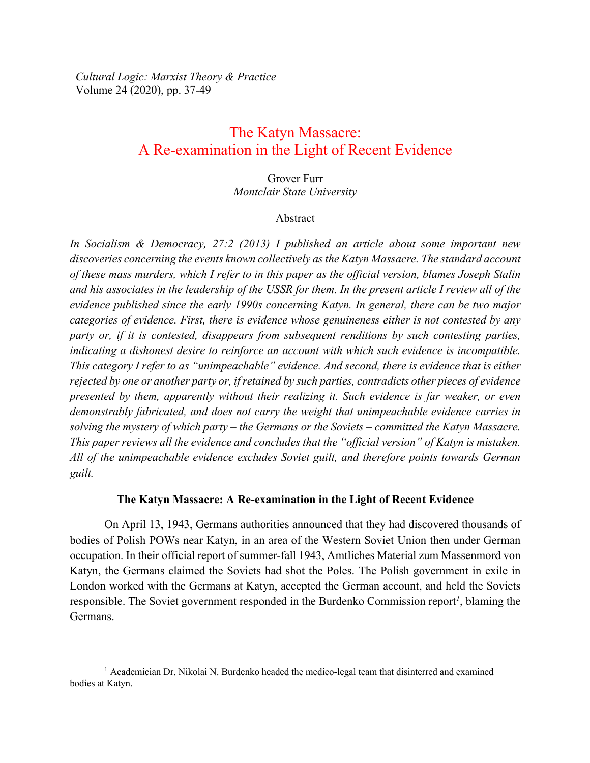*Cultural Logic: Marxist Theory & Practice* Volume 24 (2020), pp. 37-49

# The Katyn Massacre: A Re-examination in the Light of Recent Evidence

Grover Furr *Montclair State University*

#### Abstract

*In Socialism & Democracy, 27:2 (2013) I published an article about some important new discoveries concerning the events known collectively as the Katyn Massacre. The standard account of these mass murders, which I refer to in this paper as the official version, blames Joseph Stalin and his associates in the leadership of the USSR for them. In the present article I review all of the evidence published since the early 1990s concerning Katyn. In general, there can be two major categories of evidence. First, there is evidence whose genuineness either is not contested by any party or, if it is contested, disappears from subsequent renditions by such contesting parties, indicating a dishonest desire to reinforce an account with which such evidence is incompatible. This category I refer to as "unimpeachable" evidence. And second, there is evidence that is either rejected by one or another party or, if retained by such parties, contradicts other pieces of evidence presented by them, apparently without their realizing it. Such evidence is far weaker, or even demonstrably fabricated, and does not carry the weight that unimpeachable evidence carries in solving the mystery of which party – the Germans or the Soviets – committed the Katyn Massacre. This paper reviews all the evidence and concludes that the "official version" of Katyn is mistaken. All of the unimpeachable evidence excludes Soviet guilt, and therefore points towards German guilt.*

#### **The Katyn Massacre: A Re-examination in the Light of Recent Evidence**

On April 13, 1943, Germans authorities announced that they had discovered thousands of bodies of Polish POWs near Katyn, in an area of the Western Soviet Union then under German occupation. In their official report of summer-fall 1943, Amtliches Material zum Massenmord von Katyn, the Germans claimed the Soviets had shot the Poles. The Polish government in exile in London worked with the Germans at Katyn, accepted the German account, and held the Soviets responsible. The Soviet government responded in the Burdenko Commission report*<sup>1</sup>* , blaming the Germans.

<sup>&</sup>lt;sup>1</sup> Academician Dr. Nikolai N. Burdenko headed the medico-legal team that disinterred and examined bodies at Katyn.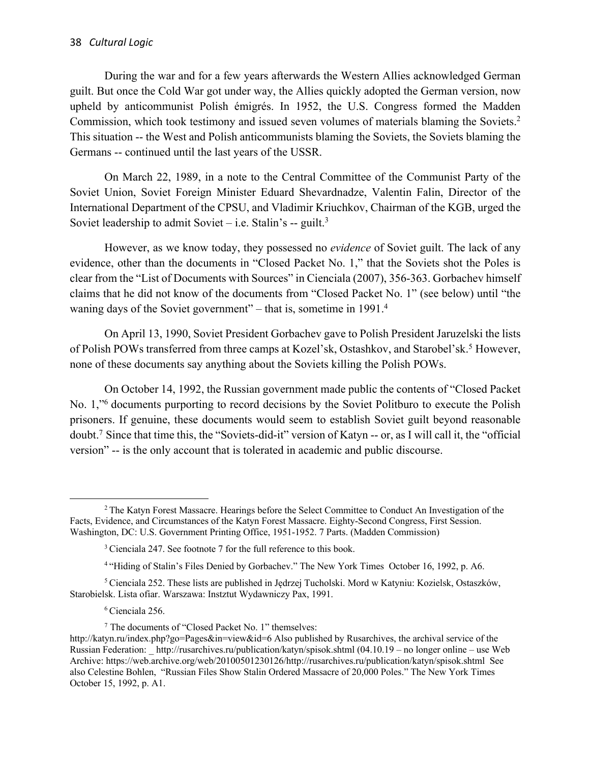During the war and for a few years afterwards the Western Allies acknowledged German guilt. But once the Cold War got under way, the Allies quickly adopted the German version, now upheld by anticommunist Polish émigrés. In 1952, the U.S. Congress formed the Madden Commission, which took testimony and issued seven volumes of materials blaming the Soviets.<sup>2</sup> This situation -- the West and Polish anticommunists blaming the Soviets, the Soviets blaming the Germans -- continued until the last years of the USSR.

On March 22, 1989, in a note to the Central Committee of the Communist Party of the Soviet Union, Soviet Foreign Minister Eduard Shevardnadze, Valentin Falin, Director of the International Department of the CPSU, and Vladimir Kriuchkov, Chairman of the KGB, urged the Soviet leadership to admit Soviet – i.e. Stalin's -- guilt.<sup>3</sup>

However, as we know today, they possessed no *evidence* of Soviet guilt. The lack of any evidence, other than the documents in "Closed Packet No. 1," that the Soviets shot the Poles is clear from the "List of Documents with Sources" in Cienciala (2007), 356-363. Gorbachev himself claims that he did not know of the documents from "Closed Packet No. 1" (see below) until "the waning days of the Soviet government" – that is, sometime in 1991.<sup>4</sup>

On April 13, 1990, Soviet President Gorbachev gave to Polish President Jaruzelski the lists of Polish POWs transferred from three camps at Kozel'sk, Ostashkov, and Starobel'sk.<sup>5</sup> However, none of these documents say anything about the Soviets killing the Polish POWs.

On October 14, 1992, the Russian government made public the contents of "Closed Packet No. 1,<sup>16</sup> documents purporting to record decisions by the Soviet Politburo to execute the Polish prisoners. If genuine, these documents would seem to establish Soviet guilt beyond reasonable doubt.<sup>7</sup> Since that time this, the "Soviets-did-it" version of Katyn -- or, as I will call it, the "official version" -- is the only account that is tolerated in academic and public discourse.

<sup>2</sup> The Katyn Forest Massacre. Hearings before the Select Committee to Conduct An Investigation of the Facts, Evidence, and Circumstances of the Katyn Forest Massacre. Eighty-Second Congress, First Session. Washington, DC: U.S. Government Printing Office, 1951-1952. 7 Parts. (Madden Commission)

<sup>&</sup>lt;sup>3</sup> Cienciala 247. See footnote 7 for the full reference to this book.

<sup>&</sup>lt;sup>4</sup> "Hiding of Stalin's Files Denied by Gorbachev." The New York Times October 16, 1992, p. A6.

<sup>5</sup> Cienciala 252. These lists are published in Jędrzej Tucholski. Mord w Katyniu: Kozielsk, Ostaszków, Starobielsk. Lista ofiar. Warszawa: Instztut Wydawniczy Pax, 1991.

<sup>6</sup> Cienciala 256.

<sup>7</sup> The documents of "Closed Packet No. 1" themselves:

http://katyn.ru/index.php?go=Pages&in=view&id=6 Also published by Rusarchives, the archival service of the Russian Federation: \_ http://rusarchives.ru/publication/katyn/spisok.shtml (04.10.19 – no longer online – use Web Archive: https://web.archive.org/web/20100501230126/http://rusarchives.ru/publication/katyn/spisok.shtml See also Celestine Bohlen, "Russian Files Show Stalin Ordered Massacre of 20,000 Poles." The New York Times October 15, 1992, p. A1.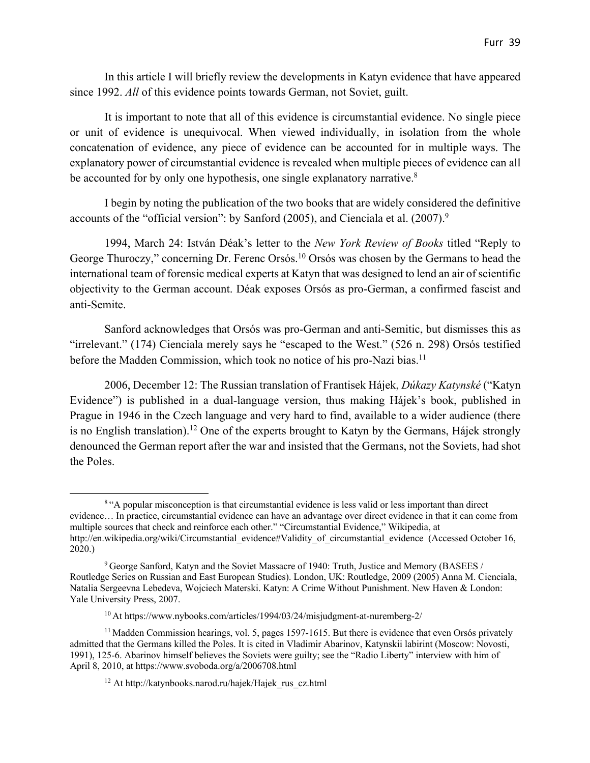In this article I will briefly review the developments in Katyn evidence that have appeared since 1992. *All* of this evidence points towards German, not Soviet, guilt.

It is important to note that all of this evidence is circumstantial evidence. No single piece or unit of evidence is unequivocal. When viewed individually, in isolation from the whole concatenation of evidence, any piece of evidence can be accounted for in multiple ways. The explanatory power of circumstantial evidence is revealed when multiple pieces of evidence can all be accounted for by only one hypothesis, one single explanatory narrative.<sup>8</sup>

I begin by noting the publication of the two books that are widely considered the definitive accounts of the "official version": by Sanford (2005), and Cienciala et al. (2007).<sup>9</sup>

1994, March 24: István Déak's letter to the *New York Review of Books* titled "Reply to George Thuroczy," concerning Dr. Ferenc Orsós.<sup>10</sup> Orsós was chosen by the Germans to head the international team of forensic medical experts at Katyn that was designed to lend an air of scientific objectivity to the German account. Déak exposes Orsós as pro-German, a confirmed fascist and anti-Semite.

Sanford acknowledges that Orsós was pro-German and anti-Semitic, but dismisses this as "irrelevant." (174) Cienciala merely says he "escaped to the West." (526 n. 298) Orsós testified before the Madden Commission, which took no notice of his pro-Nazi bias.<sup>11</sup>

2006, December 12: The Russian translation of Frantisek Hájek, *Dúkazy Katynské* ("Katyn Evidence") is published in a dual-language version, thus making Hájek's book, published in Prague in 1946 in the Czech language and very hard to find, available to a wider audience (there is no English translation).<sup>12</sup> One of the experts brought to Katyn by the Germans, Hájek strongly denounced the German report after the war and insisted that the Germans, not the Soviets, had shot the Poles.

<sup>&</sup>lt;sup>8</sup> "A popular misconception is that circumstantial evidence is less valid or less important than direct evidence… In practice, circumstantial evidence can have an advantage over direct evidence in that it can come from multiple sources that check and reinforce each other." "Circumstantial Evidence," Wikipedia, at http://en.wikipedia.org/wiki/Circumstantial\_evidence#Validity\_of\_circumstantial\_evidence (Accessed October 16, 2020.)

<sup>9</sup> George Sanford, Katyn and the Soviet Massacre of 1940: Truth, Justice and Memory (BASEES / Routledge Series on Russian and East European Studies). London, UK: Routledge, 2009 (2005) Anna M. Cienciala, Natalia Sergeevna Lebedeva, Wojciech Materski. Katyn: A Crime Without Punishment. New Haven & London: Yale University Press, 2007.

<sup>10</sup> At https://www.nybooks.com/articles/1994/03/24/misjudgment-at-nuremberg-2/

 $<sup>11</sup>$  Madden Commission hearings, vol. 5, pages 1597-1615. But there is evidence that even Orsós privately</sup> admitted that the Germans killed the Poles. It is cited in Vladimir Abarinov, Katynskii labirint (Moscow: Novosti, 1991), 125-6. Abarinov himself believes the Soviets were guilty; see the "Radio Liberty" interview with him of April 8, 2010, at https://www.svoboda.org/a/2006708.html

<sup>12</sup> At http://katynbooks.narod.ru/hajek/Hajek\_rus\_cz.html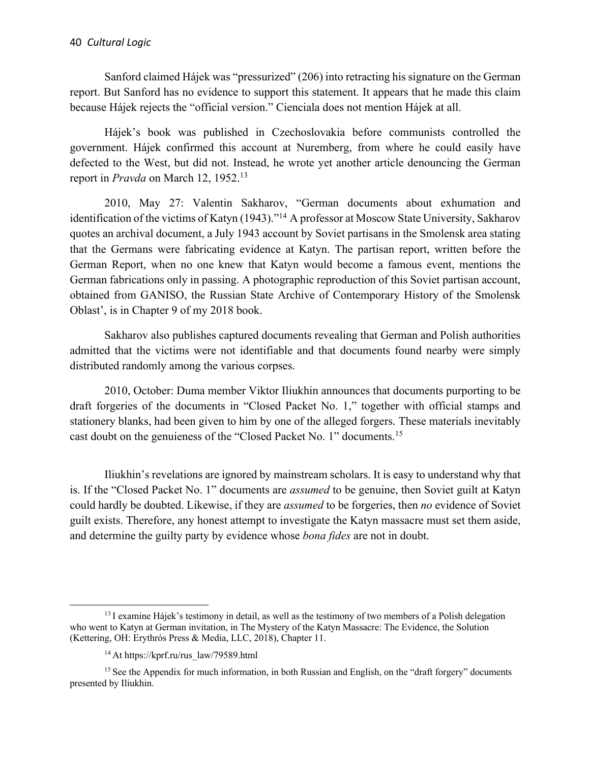Sanford claimed Hájek was "pressurized" (206) into retracting his signature on the German report. But Sanford has no evidence to support this statement. It appears that he made this claim because Hájek rejects the "official version." Cienciala does not mention Hájek at all.

Hájek's book was published in Czechoslovakia before communists controlled the government. Hájek confirmed this account at Nuremberg, from where he could easily have defected to the West, but did not. Instead, he wrote yet another article denouncing the German report in *Pravda* on March 12, 1952.13

2010, May 27: Valentin Sakharov, "German documents about exhumation and identification of the victims of Katyn (1943)."<sup>14</sup> A professor at Moscow State University, Sakharov quotes an archival document, a July 1943 account by Soviet partisans in the Smolensk area stating that the Germans were fabricating evidence at Katyn. The partisan report, written before the German Report, when no one knew that Katyn would become a famous event, mentions the German fabrications only in passing. A photographic reproduction of this Soviet partisan account, obtained from GANISO, the Russian State Archive of Contemporary History of the Smolensk Oblast', is in Chapter 9 of my 2018 book.

Sakharov also publishes captured documents revealing that German and Polish authorities admitted that the victims were not identifiable and that documents found nearby were simply distributed randomly among the various corpses.

2010, October: Duma member Viktor Iliukhin announces that documents purporting to be draft forgeries of the documents in "Closed Packet No. 1," together with official stamps and stationery blanks, had been given to him by one of the alleged forgers. These materials inevitably cast doubt on the genuieness of the "Closed Packet No. 1" documents.15

Iliukhin's revelations are ignored by mainstream scholars. It is easy to understand why that is. If the "Closed Packet No. 1" documents are *assumed* to be genuine, then Soviet guilt at Katyn could hardly be doubted. Likewise, if they are *assumed* to be forgeries, then *no* evidence of Soviet guilt exists. Therefore, any honest attempt to investigate the Katyn massacre must set them aside, and determine the guilty party by evidence whose *bona fides* are not in doubt.

<sup>&</sup>lt;sup>13</sup> I examine Hájek's testimony in detail, as well as the testimony of two members of a Polish delegation who went to Katyn at German invitation, in The Mystery of the Katyn Massacre: The Evidence, the Solution (Kettering, OH: Erythrós Press & Media, LLC, 2018), Chapter 11.

<sup>&</sup>lt;sup>14</sup> At https://kprf.ru/rus\_law/79589.html

<sup>&</sup>lt;sup>15</sup> See the Appendix for much information, in both Russian and English, on the "draft forgery" documents presented by Iliukhin.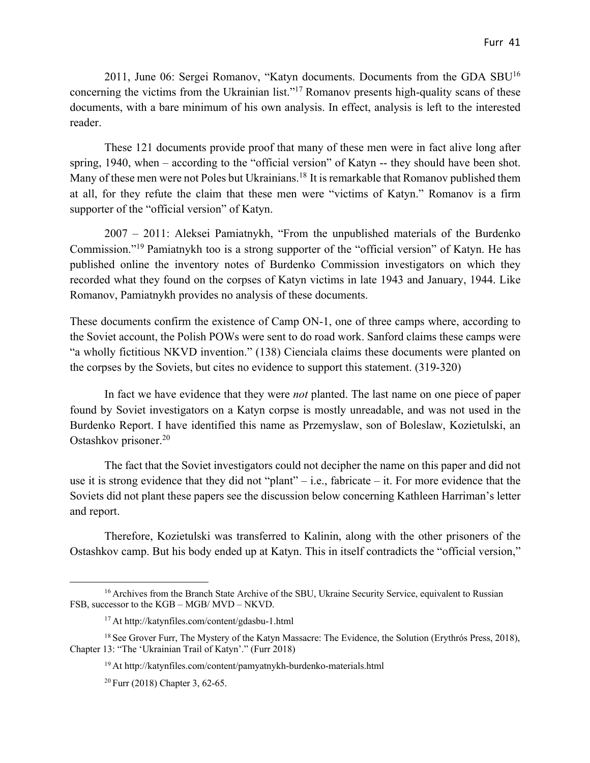2011, June 06: Sergei Romanov, "Katyn documents. Documents from the GDA SBU16 concerning the victims from the Ukrainian list."17 Romanov presents high-quality scans of these documents, with a bare minimum of his own analysis. In effect, analysis is left to the interested reader.

These 121 documents provide proof that many of these men were in fact alive long after spring, 1940, when – according to the "official version" of Katyn -- they should have been shot. Many of these men were not Poles but Ukrainians.<sup>18</sup> It is remarkable that Romanov published them at all, for they refute the claim that these men were "victims of Katyn." Romanov is a firm supporter of the "official version" of Katyn.

2007 – 2011: Aleksei Pamiatnykh, "From the unpublished materials of the Burdenko Commission."19 Pamiatnykh too is a strong supporter of the "official version" of Katyn. He has published online the inventory notes of Burdenko Commission investigators on which they recorded what they found on the corpses of Katyn victims in late 1943 and January, 1944. Like Romanov, Pamiatnykh provides no analysis of these documents.

These documents confirm the existence of Camp ON-1, one of three camps where, according to the Soviet account, the Polish POWs were sent to do road work. Sanford claims these camps were "a wholly fictitious NKVD invention." (138) Cienciala claims these documents were planted on the corpses by the Soviets, but cites no evidence to support this statement. (319-320)

In fact we have evidence that they were *not* planted. The last name on one piece of paper found by Soviet investigators on a Katyn corpse is mostly unreadable, and was not used in the Burdenko Report. I have identified this name as Przemyslaw, son of Boleslaw, Kozietulski, an Ostashkov prisoner.20

The fact that the Soviet investigators could not decipher the name on this paper and did not use it is strong evidence that they did not "plant" – i.e., fabricate – it. For more evidence that the Soviets did not plant these papers see the discussion below concerning Kathleen Harriman's letter and report.

Therefore, Kozietulski was transferred to Kalinin, along with the other prisoners of the Ostashkov camp. But his body ended up at Katyn. This in itself contradicts the "official version,"

<sup>&</sup>lt;sup>16</sup> Archives from the Branch State Archive of the SBU, Ukraine Security Service, equivalent to Russian FSB, successor to the KGB – MGB/ MVD – NKVD.

<sup>17</sup> At http://katynfiles.com/content/gdasbu-1.html

<sup>&</sup>lt;sup>18</sup> See Grover Furr, The Mystery of the Katyn Massacre: The Evidence, the Solution (Erythrós Press, 2018), Chapter 13: "The 'Ukrainian Trail of Katyn'." (Furr 2018)

<sup>19</sup> At http://katynfiles.com/content/pamyatnykh-burdenko-materials.html

<sup>20</sup> Furr (2018) Chapter 3, 62-65.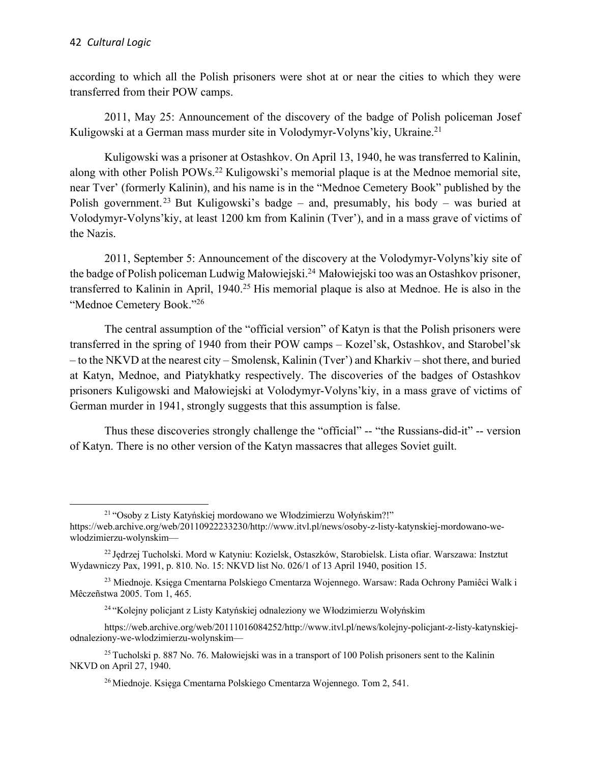according to which all the Polish prisoners were shot at or near the cities to which they were transferred from their POW camps.

2011, May 25: Announcement of the discovery of the badge of Polish policeman Josef Kuligowski at a German mass murder site in Volodymyr-Volyns' kiy, Ukraine.<sup>21</sup>

Kuligowski was a prisoner at Ostashkov. On April 13, 1940, he was transferred to Kalinin, along with other Polish POWs.22 Kuligowski's memorial plaque is at the Mednoe memorial site, near Tver' (formerly Kalinin), and his name is in the "Mednoe Cemetery Book" published by the Polish government.<sup>23</sup> But Kuligowski's badge – and, presumably, his body – was buried at Volodymyr-Volyns'kiy, at least 1200 km from Kalinin (Tver'), and in a mass grave of victims of the Nazis.

2011, September 5: Announcement of the discovery at the Volodymyr-Volyns'kiy site of the badge of Polish policeman Ludwig Małowiejski.<sup>24</sup> Małowiejski too was an Ostashkov prisoner, transferred to Kalinin in April, 1940. <sup>25</sup> His memorial plaque is also at Mednoe. He is also in the "Mednoe Cemetery Book."26

The central assumption of the "official version" of Katyn is that the Polish prisoners were transferred in the spring of 1940 from their POW camps – Kozel'sk, Ostashkov, and Starobel'sk – to the NKVD at the nearest city – Smolensk, Kalinin (Tver') and Kharkiv – shot there, and buried at Katyn, Mednoe, and Piatykhatky respectively. The discoveries of the badges of Ostashkov prisoners Kuligowski and Małowiejski at Volodymyr-Volyns'kiy, in a mass grave of victims of German murder in 1941, strongly suggests that this assumption is false.

Thus these discoveries strongly challenge the "official" -- "the Russians-did-it" -- version of Katyn. There is no other version of the Katyn massacres that alleges Soviet guilt.

<sup>21</sup> "Osoby z Listy Katyńskiej mordowano we Włodzimierzu Wołyńskim?!" https://web.archive.org/web/20110922233230/http://www.itvl.pl/news/osoby-z-listy-katynskiej-mordowano-wewlodzimierzu-wolynskim—

<sup>22</sup> Jędrzej Tucholski. Mord w Katyniu: Kozielsk, Ostaszków, Starobielsk. Lista ofiar. Warszawa: Instztut Wydawniczy Pax, 1991, p. 810. No. 15: NKVD list No. 026/1 of 13 April 1940, position 15.

<sup>&</sup>lt;sup>23</sup> Miednoje. Księga Cmentarna Polskiego Cmentarza Wojennego. Warsaw: Rada Ochrony Pamiêci Walk i Mêczeñstwa 2005. Tom 1, 465.

<sup>24</sup> "Kolejny policjant z Listy Katyńskiej odnaleziony we Włodzimierzu Wołyńskim

https://web.archive.org/web/20111016084252/http://www.itvl.pl/news/kolejny-policjant-z-listy-katynskiejodnaleziony-we-wlodzimierzu-wolynskim—

<sup>&</sup>lt;sup>25</sup> Tucholski p. 887 No. 76. Małowiejski was in a transport of 100 Polish prisoners sent to the Kalinin NKVD on April 27, 1940.

<sup>26</sup> Miednoje. Księga Cmentarna Polskiego Cmentarza Wojennego. Tom 2, 541.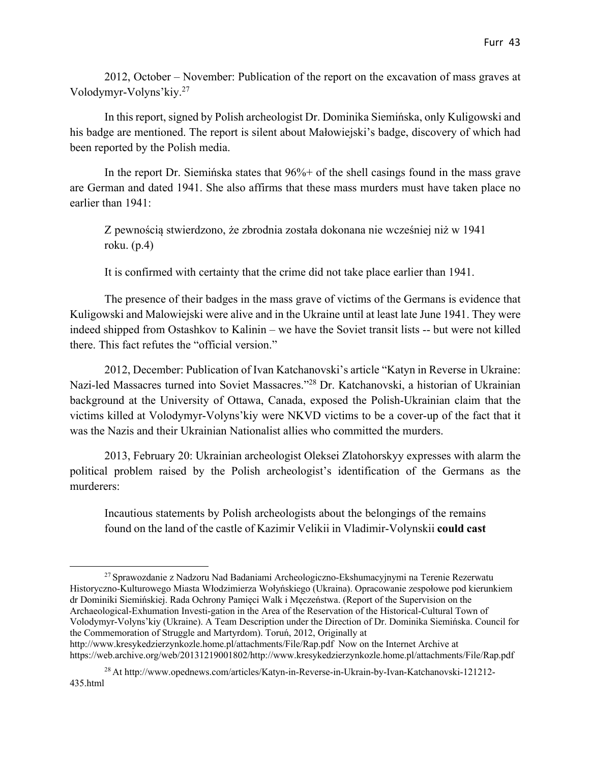2012, October – November: Publication of the report on the excavation of mass graves at Volodymyr-Volyns'kiy.27

In this report, signed by Polish archeologist Dr. Dominika Siemińska, only Kuligowski and his badge are mentioned. The report is silent about Małowiejski's badge, discovery of which had been reported by the Polish media.

In the report Dr. Siemińska states that 96%+ of the shell casings found in the mass grave are German and dated 1941. She also affirms that these mass murders must have taken place no earlier than 1941:

Z pewnością stwierdzono, że zbrodnia została dokonana nie wcześniej niż w 1941 roku. (p.4)

It is confirmed with certainty that the crime did not take place earlier than 1941.

The presence of their badges in the mass grave of victims of the Germans is evidence that Kuligowski and Malowiejski were alive and in the Ukraine until at least late June 1941. They were indeed shipped from Ostashkov to Kalinin – we have the Soviet transit lists -- but were not killed there. This fact refutes the "official version."

2012, December: Publication of Ivan Katchanovski's article "Katyn in Reverse in Ukraine: Nazi-led Massacres turned into Soviet Massacres."28 Dr. Katchanovski, a historian of Ukrainian background at the University of Ottawa, Canada, exposed the Polish-Ukrainian claim that the victims killed at Volodymyr-Volyns'kiy were NKVD victims to be a cover-up of the fact that it was the Nazis and their Ukrainian Nationalist allies who committed the murders.

2013, February 20: Ukrainian archeologist Oleksei Zlatohorskyy expresses with alarm the political problem raised by the Polish archeologist's identification of the Germans as the murderers:

Incautious statements by Polish archeologists about the belongings of the remains found on the land of the castle of Kazimir Velikii in Vladimir-Volynskii **could cast** 

http://www.kresykedzierzynkozle.home.pl/attachments/File/Rap.pdf Now on the Internet Archive at https://web.archive.org/web/20131219001802/http://www.kresykedzierzynkozle.home.pl/attachments/File/Rap.pdf

<sup>27</sup> Sprawozdanie z Nadzoru Nad Badaniami Archeologiczno-Ekshumacyjnymi na Terenie Rezerwatu Historyczno-Kulturowego Miasta Włodzimierza Wołyńskiego (Ukraina). Opracowanie zespołowe pod kierunkiem dr Dominiki Siemińskiej. Rada Ochrony Pamięci Walk i Męczeństwa. (Report of the Supervision on the Archaeological-Exhumation Investi-gation in the Area of the Reservation of the Historical-Cultural Town of Volodymyr-Volyns'kiy (Ukraine). A Team Description under the Direction of Dr. Dominika Siemińska. Council for the Commemoration of Struggle and Martyrdom). Toruń, 2012, Originally at

<sup>28</sup> At http://www.opednews.com/articles/Katyn-in-Reverse-in-Ukrain-by-Ivan-Katchanovski-121212- 435.html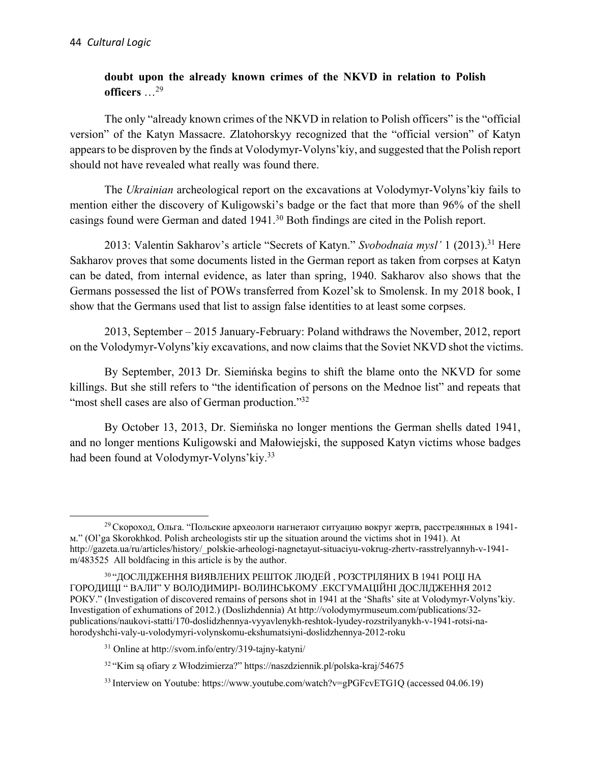# **doubt upon the already known crimes of the NKVD in relation to Polish officers** …29

The only "already known crimes of the NKVD in relation to Polish officers" is the "official version" of the Katyn Massacre. Zlatohorskyy recognized that the "official version" of Katyn appears to be disproven by the finds at Volodymyr-Volyns' kiy, and suggested that the Polish report should not have revealed what really was found there.

The *Ukrainian* archeological report on the excavations at Volodymyr-Volyns'kiy fails to mention either the discovery of Kuligowski's badge or the fact that more than 96% of the shell casings found were German and dated 1941.30 Both findings are cited in the Polish report.

2013: Valentin Sakharov's article "Secrets of Katyn." *Svobodnaia mysl'* 1 (2013).31 Here Sakharov proves that some documents listed in the German report as taken from corpses at Katyn can be dated, from internal evidence, as later than spring, 1940. Sakharov also shows that the Germans possessed the list of POWs transferred from Kozel'sk to Smolensk. In my 2018 book, I show that the Germans used that list to assign false identities to at least some corpses.

2013, September – 2015 January-February: Poland withdraws the November, 2012, report on the Volodymyr-Volyns'kiy excavations, and now claims that the Soviet NKVD shot the victims.

By September, 2013 Dr. Siemińska begins to shift the blame onto the NKVD for some killings. But she still refers to "the identification of persons on the Mednoe list" and repeats that "most shell cases are also of German production."32

By October 13, 2013, Dr. Siemińska no longer mentions the German shells dated 1941, and no longer mentions Kuligowski and Małowiejski, the supposed Katyn victims whose badges had been found at Volodymyr-Volyns'kiy.33

<sup>29</sup> Скороход, Ольга. "Польские археологи нагнетают ситуацию вокруг жертв, расстрелянных в 1941 м." (Ol'ga Skorokhkod. Polish archeologists stir up the situation around the victims shot in 1941). At http://gazeta.ua/ru/articles/history/\_polskie-arheologi-nagnetayut-situaciyu-vokrug-zhertv-rasstrelyannyh-v-1941 m/483525 All boldfacing in this article is by the author.

<sup>30</sup> "ДОСЛІДЖЕННЯ ВИЯВЛЕНИХ РЕШТОК ЛЮДЕЙ , РОЗСТРІЛЯНИХ В 1941 РОЦІ НА ГОРОДИЩІ " ВАЛИ" У ВОЛОДИМИРІ- ВОЛИНСЬКОМУ .ЕКСГУМАЦІЙНІ ДОСЛІДЖЕННЯ 2012 РОКУ." (Investigation of discovered remains of persons shot in 1941 at the 'Shafts' site at Volodymyr-Volyns'kiy. Investigation of exhumations of 2012.) (Doslizhdennia) At http://volodymyrmuseum.com/publications/32 publications/naukovi-statti/170-doslidzhennya-vyyavlenykh-reshtok-lyudey-rozstrilyanykh-v-1941-rotsi-nahorodyshchi-valy-u-volodymyri-volynskomu-ekshumatsiyni-doslidzhennya-2012-roku

<sup>31</sup> Online at http://svom.info/entry/319-tajny-katyni/

<sup>32</sup> "Kim są ofiary z Włodzimierza?" https://naszdziennik.pl/polska-kraj/54675

<sup>33</sup> Interview on Youtube: https://www.youtube.com/watch?v=gPGFcvETG1Q (accessed 04.06.19)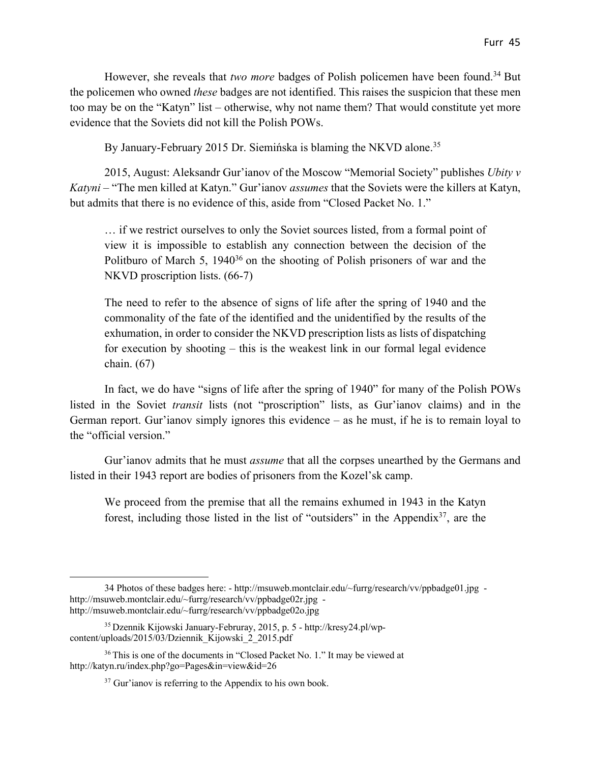However, she reveals that *two more* badges of Polish policemen have been found.<sup>34</sup> But the policemen who owned *these* badges are not identified. This raises the suspicion that these men too may be on the "Katyn" list – otherwise, why not name them? That would constitute yet more evidence that the Soviets did not kill the Polish POWs.

By January-February 2015 Dr. Siemińska is blaming the NKVD alone.<sup>35</sup>

2015, August: Aleksandr Gur'ianov of the Moscow "Memorial Society" publishes *Ubity v Katyni* – "The men killed at Katyn." Gur'ianov *assumes* that the Soviets were the killers at Katyn, but admits that there is no evidence of this, aside from "Closed Packet No. 1."

… if we restrict ourselves to only the Soviet sources listed, from a formal point of view it is impossible to establish any connection between the decision of the Politburo of March 5,  $1940^{36}$  on the shooting of Polish prisoners of war and the NKVD proscription lists. (66-7)

The need to refer to the absence of signs of life after the spring of 1940 and the commonality of the fate of the identified and the unidentified by the results of the exhumation, in order to consider the NKVD prescription lists as lists of dispatching for execution by shooting – this is the weakest link in our formal legal evidence chain. (67)

In fact, we do have "signs of life after the spring of 1940" for many of the Polish POWs listed in the Soviet *transit* lists (not "proscription" lists, as Gur'ianov claims) and in the German report. Gur'ianov simply ignores this evidence – as he must, if he is to remain loyal to the "official version."

Gur'ianov admits that he must *assume* that all the corpses unearthed by the Germans and listed in their 1943 report are bodies of prisoners from the Kozel'sk camp.

We proceed from the premise that all the remains exhumed in 1943 in the Katyn forest, including those listed in the list of "outsiders" in the Appendix<sup>37</sup>, are the

<sup>34</sup> Photos of these badges here: - http://msuweb.montclair.edu/~furrg/research/vv/ppbadge01.jpg http://msuweb.montclair.edu/~furrg/research/vv/ppbadge02r.jpg http://msuweb.montclair.edu/~furrg/research/vv/ppbadge02o.jpg

<sup>35</sup> Dzennik Kijowski January-Februray, 2015, p. 5 - http://kresy24.pl/wpcontent/uploads/2015/03/Dziennik\_Kijowski\_2\_2015.pdf

<sup>&</sup>lt;sup>36</sup> This is one of the documents in "Closed Packet No. 1." It may be viewed at http://katyn.ru/index.php?go=Pages&in=view&id=26

<sup>&</sup>lt;sup>37</sup> Gur'ianov is referring to the Appendix to his own book.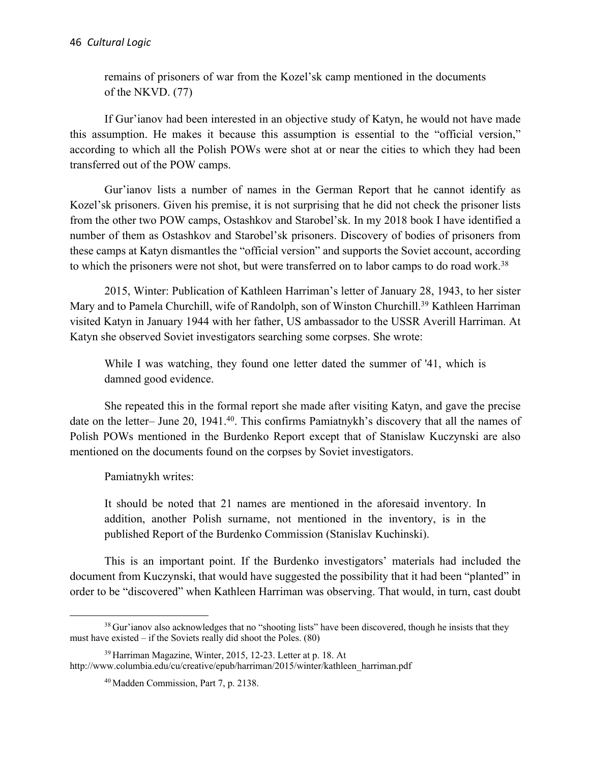remains of prisoners of war from the Kozel'sk camp mentioned in the documents of the NKVD. (77)

If Gur'ianov had been interested in an objective study of Katyn, he would not have made this assumption. He makes it because this assumption is essential to the "official version," according to which all the Polish POWs were shot at or near the cities to which they had been transferred out of the POW camps.

Gur'ianov lists a number of names in the German Report that he cannot identify as Kozel'sk prisoners. Given his premise, it is not surprising that he did not check the prisoner lists from the other two POW camps, Ostashkov and Starobel'sk. In my 2018 book I have identified a number of them as Ostashkov and Starobel'sk prisoners. Discovery of bodies of prisoners from these camps at Katyn dismantles the "official version" and supports the Soviet account, according to which the prisoners were not shot, but were transferred on to labor camps to do road work.<sup>38</sup>

2015, Winter: Publication of Kathleen Harriman's letter of January 28, 1943, to her sister Mary and to Pamela Churchill, wife of Randolph, son of Winston Churchill.<sup>39</sup> Kathleen Harriman visited Katyn in January 1944 with her father, US ambassador to the USSR Averill Harriman. At Katyn she observed Soviet investigators searching some corpses. She wrote:

While I was watching, they found one letter dated the summer of '41, which is damned good evidence.

She repeated this in the formal report she made after visiting Katyn, and gave the precise date on the letter– June 20, 1941.<sup>40</sup>. This confirms Pamiatnykh's discovery that all the names of Polish POWs mentioned in the Burdenko Report except that of Stanislaw Kuczynski are also mentioned on the documents found on the corpses by Soviet investigators.

Pamiatnykh writes:

It should be noted that 21 names are mentioned in the aforesaid inventory. In addition, another Polish surname, not mentioned in the inventory, is in the published Report of the Burdenko Commission (Stanislav Kuchinski).

This is an important point. If the Burdenko investigators' materials had included the document from Kuczynski, that would have suggested the possibility that it had been "planted" in order to be "discovered" when Kathleen Harriman was observing. That would, in turn, cast doubt

<sup>&</sup>lt;sup>38</sup> Gur'ianov also acknowledges that no "shooting lists" have been discovered, though he insists that they must have existed – if the Soviets really did shoot the Poles. (80)

<sup>39</sup> Harriman Magazine, Winter, 2015, 12-23. Letter at p. 18. At http://www.columbia.edu/cu/creative/epub/harriman/2015/winter/kathleen\_harriman.pdf

<sup>40</sup> Madden Commission, Part 7, p. 2138.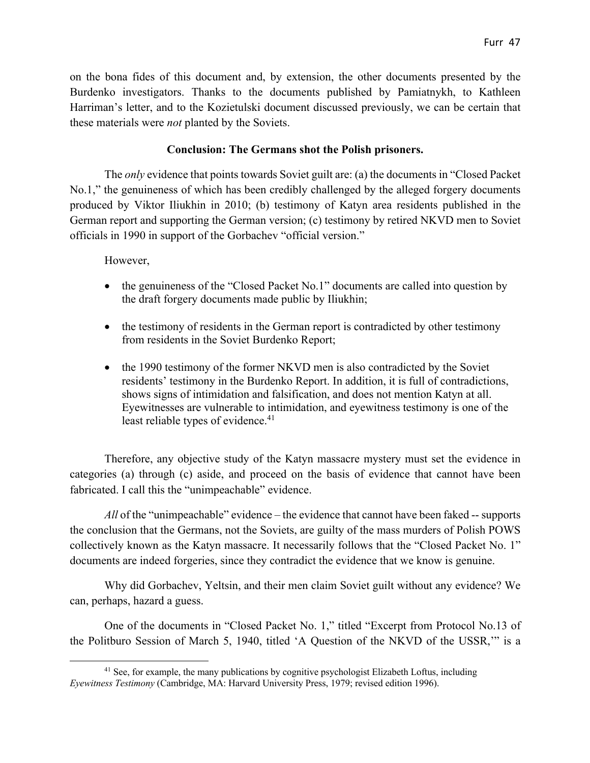on the bona fides of this document and, by extension, the other documents presented by the Burdenko investigators. Thanks to the documents published by Pamiatnykh, to Kathleen Harriman's letter, and to the Kozietulski document discussed previously, we can be certain that these materials were *not* planted by the Soviets.

# **Conclusion: The Germans shot the Polish prisoners.**

The *only* evidence that points towards Soviet guilt are: (a) the documents in "Closed Packet No.1," the genuineness of which has been credibly challenged by the alleged forgery documents produced by Viktor Iliukhin in 2010; (b) testimony of Katyn area residents published in the German report and supporting the German version; (c) testimony by retired NKVD men to Soviet officials in 1990 in support of the Gorbachev "official version."

However,

- the genuineness of the "Closed Packet No.1" documents are called into question by the draft forgery documents made public by Iliukhin;
- the testimony of residents in the German report is contradicted by other testimony from residents in the Soviet Burdenko Report;
- the 1990 testimony of the former NKVD men is also contradicted by the Soviet residents' testimony in the Burdenko Report. In addition, it is full of contradictions, shows signs of intimidation and falsification, and does not mention Katyn at all. Eyewitnesses are vulnerable to intimidation, and eyewitness testimony is one of the least reliable types of evidence.<sup>41</sup>

Therefore, any objective study of the Katyn massacre mystery must set the evidence in categories (a) through (c) aside, and proceed on the basis of evidence that cannot have been fabricated. I call this the "unimpeachable" evidence.

*All* of the "unimpeachable" evidence – the evidence that cannot have been faked -- supports the conclusion that the Germans, not the Soviets, are guilty of the mass murders of Polish POWS collectively known as the Katyn massacre. It necessarily follows that the "Closed Packet No. 1" documents are indeed forgeries, since they contradict the evidence that we know is genuine.

Why did Gorbachev, Yeltsin, and their men claim Soviet guilt without any evidence? We can, perhaps, hazard a guess.

One of the documents in "Closed Packet No. 1," titled "Excerpt from Protocol No.13 of the Politburo Session of March 5, 1940, titled 'A Question of the NKVD of the USSR,'" is a

 $41$  See, for example, the many publications by cognitive psychologist Elizabeth Loftus, including *Eyewitness Testimony* (Cambridge, MA: Harvard University Press, 1979; revised edition 1996).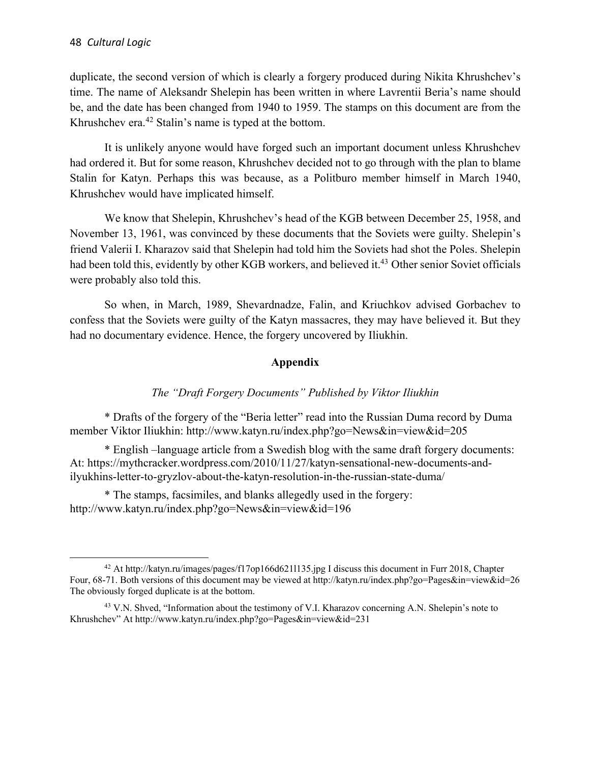duplicate, the second version of which is clearly a forgery produced during Nikita Khrushchev's time. The name of Aleksandr Shelepin has been written in where Lavrentii Beria's name should be, and the date has been changed from 1940 to 1959. The stamps on this document are from the Khrushchev era.<sup>42</sup> Stalin's name is typed at the bottom.

It is unlikely anyone would have forged such an important document unless Khrushchev had ordered it. But for some reason, Khrushchev decided not to go through with the plan to blame Stalin for Katyn. Perhaps this was because, as a Politburo member himself in March 1940, Khrushchev would have implicated himself.

We know that Shelepin, Khrushchev's head of the KGB between December 25, 1958, and November 13, 1961, was convinced by these documents that the Soviets were guilty. Shelepin's friend Valerii I. Kharazov said that Shelepin had told him the Soviets had shot the Poles. Shelepin had been told this, evidently by other KGB workers, and believed it.<sup>43</sup> Other senior Soviet officials were probably also told this.

So when, in March, 1989, Shevardnadze, Falin, and Kriuchkov advised Gorbachev to confess that the Soviets were guilty of the Katyn massacres, they may have believed it. But they had no documentary evidence. Hence, the forgery uncovered by Iliukhin.

# **Appendix**

# *The "Draft Forgery Documents" Published by Viktor Iliukhin*

\* Drafts of the forgery of the "Beria letter" read into the Russian Duma record by Duma member Viktor Iliukhin: http://www.katyn.ru/index.php?go=News&in=view&id=205

\* English –language article from a Swedish blog with the same draft forgery documents: At: https://mythcracker.wordpress.com/2010/11/27/katyn-sensational-new-documents-andilyukhins-letter-to-gryzlov-about-the-katyn-resolution-in-the-russian-state-duma/

\* The stamps, facsimiles, and blanks allegedly used in the forgery: http://www.katyn.ru/index.php?go=News&in=view&id=196

<sup>42</sup> At http://katyn.ru/images/pages/f17op166d621l135.jpg I discuss this document in Furr 2018, Chapter Four, 68-71. Both versions of this document may be viewed at http://katyn.ru/index.php?go=Pages&in=view&id=26 The obviously forged duplicate is at the bottom.

<sup>&</sup>lt;sup>43</sup> V.N. Shved, "Information about the testimony of V.I. Kharazov concerning A.N. Shelepin's note to Khrushchev" At http://www.katyn.ru/index.php?go=Pages&in=view&id=231